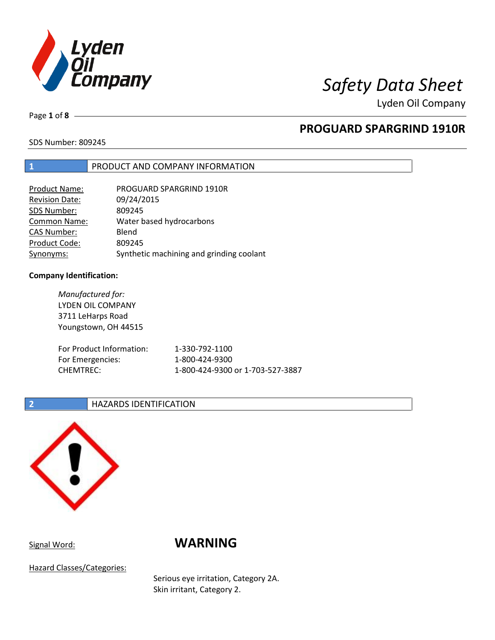

Page **1** of **8**

## **PROGUARD SPARGRIND 1910R**

SDS Number: 809245

### **1** PRODUCT AND COMPANY INFORMATION

| Product Name:         | PROGUARD SPARGRIND 1910R                 |
|-----------------------|------------------------------------------|
| <b>Revision Date:</b> | 09/24/2015                               |
| SDS Number:           | 809245                                   |
| <b>Common Name:</b>   | Water based hydrocarbons                 |
| <b>CAS Number:</b>    | Blend                                    |
| Product Code:         | 809245                                   |
| Synonyms:             | Synthetic machining and grinding coolant |

### **Company Identification:**

*Manufactured for:* LYDEN OIL COMPANY 3711 LeHarps Road Youngstown, OH 44515 For Product Information: 1-330-792-1100 For Emergencies: 1-800-424-9300 CHEMTREC: 1-800-424-9300 or 1-703-527-3887

### **2 HAZARDS IDENTIFICATION**



# Signal Word: **WARNING**

Hazard Classes/Categories:

Serious eye irritation, Category 2A. Skin irritant, Category 2.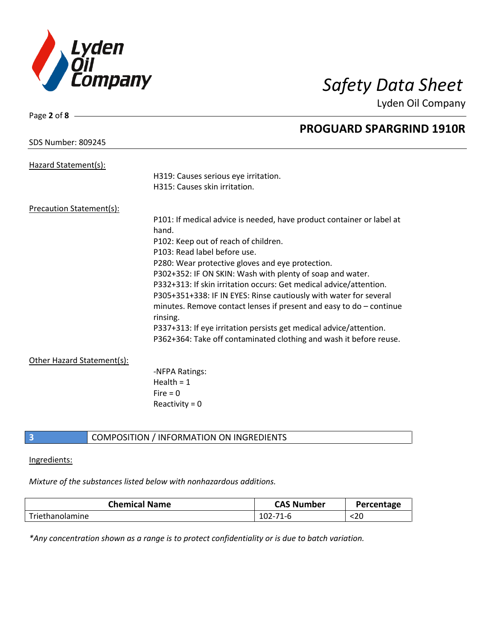

| Page 2 of 8 -                   |                                                                       |
|---------------------------------|-----------------------------------------------------------------------|
|                                 | <b>PROGUARD SPARGRIND 1910R</b>                                       |
| <b>SDS Number: 809245</b>       |                                                                       |
| Hazard Statement(s):            |                                                                       |
|                                 | H319: Causes serious eye irritation.                                  |
|                                 | H315: Causes skin irritation.                                         |
| <b>Precaution Statement(s):</b> |                                                                       |
|                                 | P101: If medical advice is needed, have product container or label at |
|                                 | hand.                                                                 |
|                                 | P102: Keep out of reach of children.                                  |
|                                 | P103: Read label before use.                                          |
|                                 | P280: Wear protective gloves and eye protection.                      |
|                                 | P302+352: IF ON SKIN: Wash with plenty of soap and water.             |
|                                 | P332+313: If skin irritation occurs: Get medical advice/attention.    |
|                                 | P305+351+338: IF IN EYES: Rinse cautiously with water for several     |
|                                 | minutes. Remove contact lenses if present and easy to $do$ – continue |
|                                 | rinsing.                                                              |
|                                 | P337+313: If eye irritation persists get medical advice/attention.    |
|                                 | P362+364: Take off contaminated clothing and wash it before reuse.    |
| Other Hazard Statement(s):      |                                                                       |
|                                 | -NFPA Ratings:                                                        |
|                                 | Health = $1$                                                          |
|                                 | Fire = $0$                                                            |
|                                 | Reactivity = $0$                                                      |
|                                 |                                                                       |

### **3** COMPOSITION / INFORMATION ON INGREDIENTS

### Ingredients:

### *Mixture of the substances listed below with nonhazardous additions.*

| <b>Chemical Name</b> | <b>CAS Number</b> | Percentage |
|----------------------|-------------------|------------|
| Triethanolamine      | $71 - r$          | <20        |

*\*Any concentration shown as a range is to protect confidentiality or is due to batch variation.*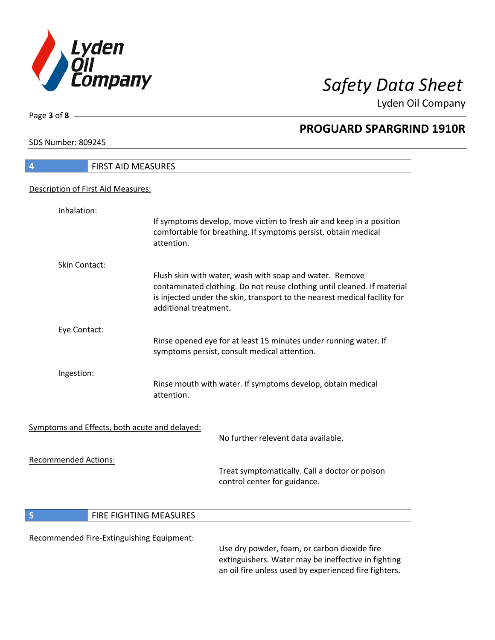

**PROGUARD SPARGRIND 1910R**

Lyden Oil Company

SDS Number: 809245

Page **3** of **8**

 $\overline{\phantom{a}}$ 

I

| 4                           | FIRST AID MEASURES                            |                                                                                                                                                                                                                 |
|-----------------------------|-----------------------------------------------|-----------------------------------------------------------------------------------------------------------------------------------------------------------------------------------------------------------------|
|                             | Description of First Aid Measures:            |                                                                                                                                                                                                                 |
| Inhalation:                 |                                               |                                                                                                                                                                                                                 |
|                             | attention.                                    | If symptoms develop, move victim to fresh air and keep in a position<br>comfortable for breathing. If symptoms persist, obtain medical                                                                          |
| Skin Contact:               |                                               |                                                                                                                                                                                                                 |
|                             | additional treatment.                         | Flush skin with water, wash with soap and water. Remove<br>contaminated clothing. Do not reuse clothing until cleaned. If material<br>is injected under the skin, transport to the nearest medical facility for |
| Eye Contact:                |                                               |                                                                                                                                                                                                                 |
|                             |                                               | Rinse opened eye for at least 15 minutes under running water. If<br>symptoms persist, consult medical attention.                                                                                                |
| Ingestion:                  | attention.                                    | Rinse mouth with water. If symptoms develop, obtain medical                                                                                                                                                     |
|                             | Symptoms and Effects, both acute and delayed: |                                                                                                                                                                                                                 |
|                             |                                               | No further relevent data available.                                                                                                                                                                             |
| <b>Recommended Actions:</b> |                                               |                                                                                                                                                                                                                 |
|                             |                                               | Treat symptomatically. Call a doctor or poison<br>control center for guidance.                                                                                                                                  |
| 5                           | FIRE FIGHTING MEASURES                        |                                                                                                                                                                                                                 |
|                             | Recommended Fire-Extinguishing Equipment:     |                                                                                                                                                                                                                 |

Use dry powder, foam, or carbon dioxide fire extinguishers. Water may be ineffective in fighting an oil fire unless used by experienced fire fighters.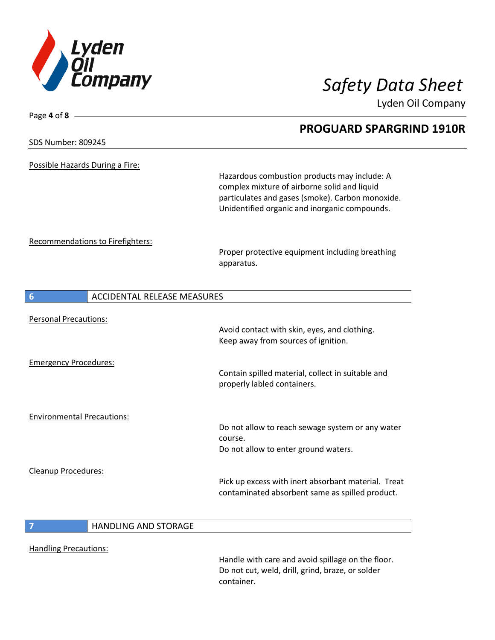

Page **4** of **8**

Lyden Oil Company

# **PROGUARD SPARGRIND 1910R** SDS Number: 809245 Possible Hazards During a Fire: Hazardous combustion products may include: A complex mixture of airborne solid and liquid particulates and gases (smoke). Carbon monoxide. Unidentified organic and inorganic compounds. Recommendations to Firefighters: Proper protective equipment including breathing apparatus. **6** ACCIDENTAL RELEASE MEASURES Personal Precautions: Avoid contact with skin, eyes, and clothing. Keep away from sources of ignition. Emergency Procedures: Contain spilled material, collect in suitable and properly labled containers. Environmental Precautions: Do not allow to reach sewage system or any water course. Do not allow to enter ground waters. Cleanup Procedures: Pick up excess with inert absorbant material. Treat contaminated absorbent same as spilled product. **7** HANDLING AND STORAGE

Handling Precautions:

Handle with care and avoid spillage on the floor. Do not cut, weld, drill, grind, braze, or solder container.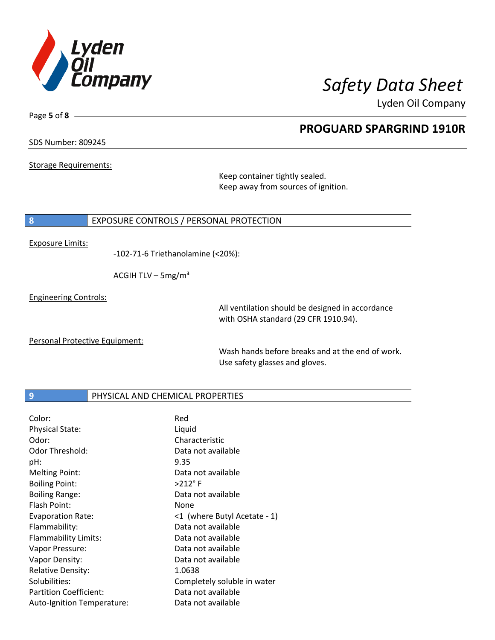

**PROGUARD SPARGRIND 1910R**

Lyden Oil Company

SDS Number: 809245

Page **5** of **8**

Storage Requirements:

Keep container tightly sealed. Keep away from sources of ignition.

### **8** EXPOSURE CONTROLS / PERSONAL PROTECTION

Exposure Limits:

-102-71-6 Triethanolamine (<20%):

ACGIH TLV –  $5mg/m<sup>3</sup>$ 

Engineering Controls:

All ventilation should be designed in accordance with OSHA standard (29 CFR 1910.94).

Personal Protective Equipment:

Wash hands before breaks and at the end of work. Use safety glasses and gloves.

### **9 PHYSICAL AND CHEMICAL PROPERTIES**

| Color:                      | Red                          |
|-----------------------------|------------------------------|
| <b>Physical State:</b>      | Liquid                       |
| Odor:                       | Characteristic               |
| <b>Odor Threshold:</b>      | Data not available           |
| pH:                         | 9.35                         |
| <b>Melting Point:</b>       | Data not available           |
| <b>Boiling Point:</b>       | $>212$ °F                    |
| <b>Boiling Range:</b>       | Data not available           |
| Flash Point:                | None                         |
| <b>Evaporation Rate:</b>    | <1 (where Butyl Acetate - 1) |
| Flammability:               | Data not available           |
| <b>Flammability Limits:</b> | Data not available           |
| Vapor Pressure:             | Data not available           |
| Vapor Density:              | Data not available           |
| <b>Relative Density:</b>    | 1.0638                       |
| Solubilities:               | Completely soluble in water  |
| Partition Coefficient:      | Data not available           |
| Auto-Ignition Temperature:  | Data not available           |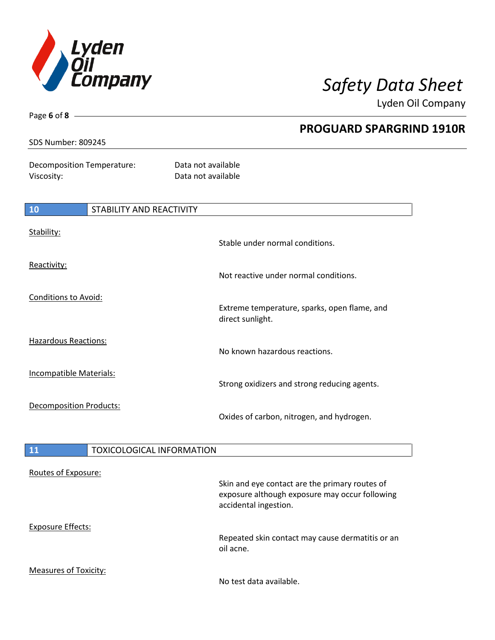

| Page 6 of 8                                     |                                  |                                                                  |
|-------------------------------------------------|----------------------------------|------------------------------------------------------------------|
| <b>SDS Number: 809245</b>                       |                                  | <b>PROGUARD SPARGRIND 1910R</b>                                  |
| <b>Decomposition Temperature:</b><br>Viscosity: |                                  | Data not available<br>Data not available                         |
| 10                                              | <b>STABILITY AND REACTIVITY</b>  |                                                                  |
| Stability:                                      |                                  | Stable under normal conditions.                                  |
| Reactivity:                                     |                                  | Not reactive under normal conditions.                            |
| <b>Conditions to Avoid:</b>                     |                                  | Extreme temperature, sparks, open flame, and<br>direct sunlight. |
| <b>Hazardous Reactions:</b>                     |                                  | No known hazardous reactions.                                    |
| Incompatible Materials:                         |                                  | Strong oxidizers and strong reducing agents.                     |
| <b>Decomposition Products:</b>                  |                                  | Oxides of carbon, nitrogen, and hydrogen.                        |
| 11                                              | <b>TOXICOLOGICAL INFORMATION</b> |                                                                  |
| Routes of Exposure:                             |                                  |                                                                  |

| <b>NOULLY OF EXPOSUIT.</b> | Skin and eye contact are the primary routes of<br>exposure although exposure may occur following<br>accidental ingestion. |
|----------------------------|---------------------------------------------------------------------------------------------------------------------------|
| Exposure Effects:          | Repeated skin contact may cause dermatitis or an<br>oil acne.                                                             |
| Measures of Toxicity:      | No test data available.                                                                                                   |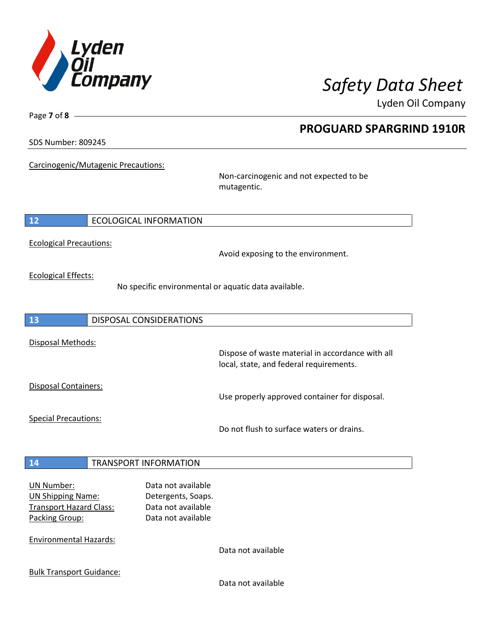

**PROGUARD SPARGRIND 1910R**

Lyden Oil Company

SDS Number: 809245

Page **7** of **8**

Carcinogenic/Mutagenic Precautions:

Non-carcinogenic and not expected to be mutagentic.

### **12** ECOLOGICAL INFORMATION

Ecological Precautions:

Avoid exposing to the environment.

Ecological Effects:

No specific environmental or aquatic data available.

**13** DISPOSAL CONSIDERATIONS Disposal Methods: Dispose of waste material in accordance with all local, state, and federal requirements. Disposal Containers: Use properly approved container for disposal. Special Precautions: Do not flush to surface waters or drains. **14** TRANSPORT INFORMATION UN Number: Data not available UN Shipping Name: Detergents, Soaps. Transport Hazard Class: Data not available Packing Group: Data not available

Environmental Hazards:

Data not available

Bulk Transport Guidance:

Data not available